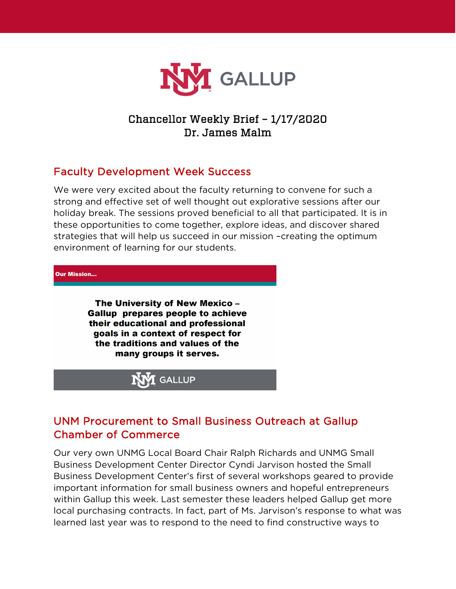

## Chancellor Weekly Brief – 1/17/2020 Dr. James Malm

### Faculty Development Week Success

We were very excited about the faculty returning to convene for such a strong and effective set of well thought out explorative sessions after our holiday break. The sessions proved beneficial to all that participated. It is in these opportunities to come together, explore ideas, and discover shared strategies that will help us succeed in our mission –creating the optimum environment of learning for our students.



### UNM Procurement to Small Business Outreach at Gallup Chamber of Commerce

Our very own UNMG Local Board Chair Ralph Richards and UNMG Small Business Development Center Director Cyndi Jarvison hosted the Small Business Development Center's first of several workshops geared to provide important information for small business owners and hopeful entrepreneurs within Gallup this week. Last semester these leaders helped Gallup get more local purchasing contracts. In fact, part of Ms. Jarvison's response to what was learned last year was to respond to the need to find constructive ways to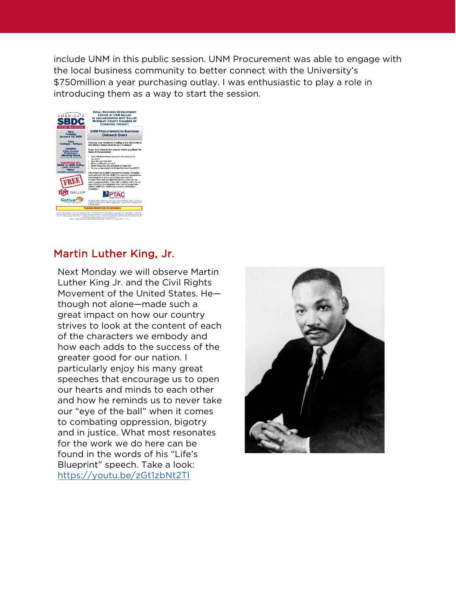include UNM in this public session. UNM Procurement was able to engage with the local business community to better connect with the University's \$750million a year purchasing outlay. I was enthusiastic to play a role in introducing them as a way to start the session.

| <b>AMERICA'S</b>                                                 | <b>SMALL BUSINESS DEVELOPMENT</b><br><b>CENTER AT UNM GALLUP</b><br>IN COLLABORATION WITH GALLUP<br><b>MCKINLEY COUNTY CHAMBER OF</b><br><b>COMMERCE PRESENT:</b>                                                              |
|------------------------------------------------------------------|--------------------------------------------------------------------------------------------------------------------------------------------------------------------------------------------------------------------------------|
| NEW MEXICO<br>Date:<br><b>Tuesday</b><br><b>January 14, 2020</b> | <b>UNM Procurement to Business</b><br><b>Outreach Event</b>                                                                                                                                                                    |
| Times<br>12:00pm - 3:00pm                                        | Have you ever wondered if selling to the University of<br>New Mexico makes sense for your business?                                                                                                                            |
| Location:<br>Gallen Chamber<br>Of Computer                       | If yes, then come to this assaion where questions like<br>those will be answered:                                                                                                                                              |
| <b>Meeting Room</b><br>106 W. Hay, 66 Gallup, NM                 | . Does UNM purchase my particular product or<br>service?                                                                                                                                                                       |
| <b>Registration Info:</b>                                        | · How do I get started?                                                                                                                                                                                                        |
| <b>SBDC at UNM Gallup</b>                                        | - What certifications help?                                                                                                                                                                                                    |
| (505) 722-2220<br>https://                                       | . What resources are available to help me?<br>Do you understand Job Order Contracting (JOC)?<br>٠                                                                                                                              |
| nmsbdc.coontordiract.                                            | This event has a UNM Procurement theme. The after-<br>noon will start off with UNM Procurement presentation<br>explaining their procurement process and the                                                                    |
|                                                                  | Construction Delivery Method (JOC), as well as up-<br>coming apportunities. Then will conclude with one-on-<br>one individual consultations with resource partners.<br>(SBDC, NMPTAC, UNM Procurement, and Gallup<br>Chamber). |
|                                                                  |                                                                                                                                                                                                                                |
| COLLIDA                                                          | De See Norte Possesent Transfer Australia Gebruik (FTAT) e Saler et al Desain a<br>concertibo actuarent achi fre Cafanzo Lengtar, Angera. Die NA 9750 h also davission fra<br>25% of King Market                               |
|                                                                  | PLEASE REGISTER IN ADVANCE                                                                                                                                                                                                     |

### Martin Luther King, Jr.

Next Monday we will observe Martin Luther King Jr. and the Civil Rights Movement of the United States. He though not alone—made such a great impact on how our country strives to look at the content of each of the characters we embody and how each adds to the success of the greater good for our nation. I particularly enjoy his many great speeches that encourage us to open our hearts and minds to each other and how he reminds us to never take our "eye of the ball" when it comes to combating oppression, bigotry and in justice. What most resonates for the work we do here can be found in the words of his "Life's Blueprint" speech. Take a look: <https://youtu.be/zGt1zbNt2TI>